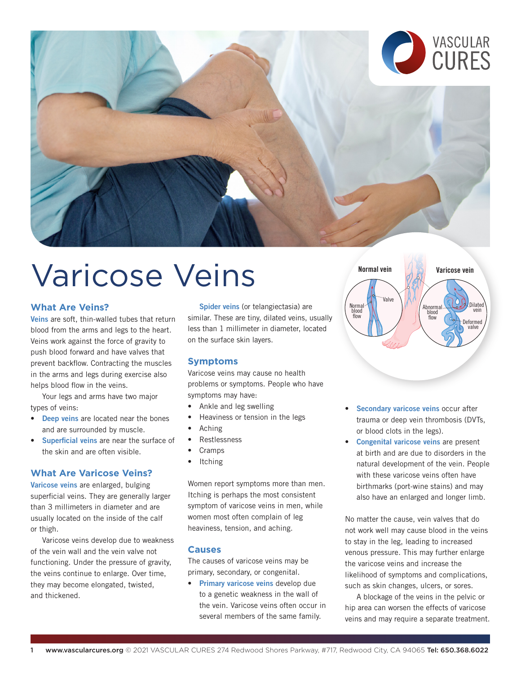



# Varicose Veins

## **What Are Veins?**

Veins are soft, thin-walled tubes that return blood from the arms and legs to the heart. Veins work against the force of gravity to push blood forward and have valves that prevent backflow. Contracting the muscles in the arms and legs during exercise also helps blood flow in the veins.

Your legs and arms have two major types of veins:

- Deep veins are located near the bones and are surrounded by muscle.
- Superficial veins are near the surface of the skin and are often visible.

## **What Are Varicose Veins?**

Varicose veins are enlarged, bulging superficial veins. They are generally larger than 3 millimeters in diameter and are usually located on the inside of the calf or thigh.

Varicose veins develop due to weakness of the vein wall and the vein valve not functioning. Under the pressure of gravity, the veins continue to enlarge. Over time, they may become elongated, twisted, and thickened.

Spider veins (or telangiectasia) are similar. These are tiny, dilated veins, usually less than 1 millimeter in diameter, located on the surface skin layers.

## **Symptoms**

Varicose veins may cause no health problems or symptoms. People who have symptoms may have:

- Ankle and leg swelling
- Heaviness or tension in the legs
- Aching
- Restlessness
- **Cramps**
- **Itching**

Women report symptoms more than men. Itching is perhaps the most consistent symptom of varicose veins in men, while women most often complain of leg heaviness, tension, and aching.

#### **Causes**

The causes of varicose veins may be primary, secondary, or congenital.

• Primary varicose veins develop due to a genetic weakness in the wall of the vein. Varicose veins often occur in several members of the same family.



- Secondary varicose veins occur after trauma or deep vein thrombosis (DVTs, or blood clots in the legs).
- Congenital varicose veins are present at birth and are due to disorders in the natural development of the vein. People with these varicose veins often have birthmarks (port-wine stains) and may also have an enlarged and longer limb.

No matter the cause, vein valves that do not work well may cause blood in the veins to stay in the leg, leading to increased venous pressure. This may further enlarge the varicose veins and increase the likelihood of symptoms and complications, such as skin changes, ulcers, or sores.

A blockage of the veins in the pelvic or hip area can worsen the effects of varicose veins and may require a separate treatment.